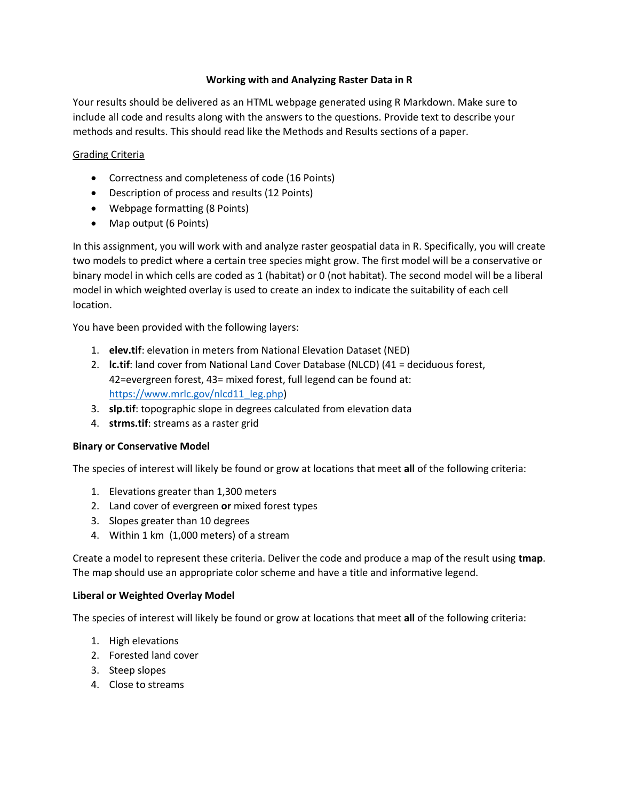## **Working with and Analyzing Raster Data in R**

Your results should be delivered as an HTML webpage generated using R Markdown. Make sure to include all code and results along with the answers to the questions. Provide text to describe your methods and results. This should read like the Methods and Results sections of a paper.

## Grading Criteria

- Correctness and completeness of code (16 Points)
- Description of process and results (12 Points)
- Webpage formatting (8 Points)
- Map output (6 Points)

In this assignment, you will work with and analyze raster geospatial data in R. Specifically, you will create two models to predict where a certain tree species might grow. The first model will be a conservative or binary model in which cells are coded as 1 (habitat) or 0 (not habitat). The second model will be a liberal model in which weighted overlay is used to create an index to indicate the suitability of each cell location.

You have been provided with the following layers:

- 1. **elev.tif**: elevation in meters from National Elevation Dataset (NED)
- 2. **lc.tif**: land cover from National Land Cover Database (NLCD) (41 = deciduous forest, 42=evergreen forest, 43= mixed forest, full legend can be found at: [https://www.mrlc.gov/nlcd11\\_leg.php\)](https://www.mrlc.gov/nlcd11_leg.php)
- 3. **slp.tif**: topographic slope in degrees calculated from elevation data
- 4. **strms.tif**: streams as a raster grid

## **Binary or Conservative Model**

The species of interest will likely be found or grow at locations that meet **all** of the following criteria:

- 1. Elevations greater than 1,300 meters
- 2. Land cover of evergreen **or** mixed forest types
- 3. Slopes greater than 10 degrees
- 4. Within 1 km (1,000 meters) of a stream

Create a model to represent these criteria. Deliver the code and produce a map of the result using **tmap**. The map should use an appropriate color scheme and have a title and informative legend.

## **Liberal or Weighted Overlay Model**

The species of interest will likely be found or grow at locations that meet **all** of the following criteria:

- 1. High elevations
- 2. Forested land cover
- 3. Steep slopes
- 4. Close to streams